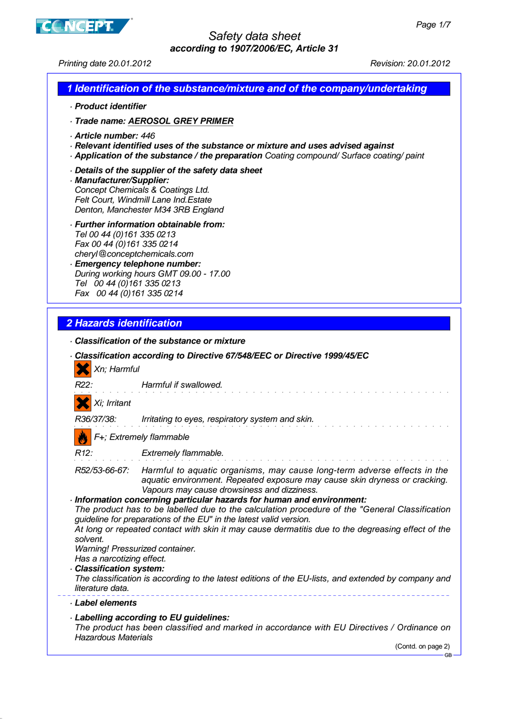

Printing date 20.01.2012 Revision: 20.01.2012

## **1 Identification of the substance/mixture and of the company/undertaking**

- · **Product identifier**
- · **Trade name: AEROSOL GREY PRIMER**
- · **Article number:** 446
- · **Relevant identified uses of the substance or mixture and uses advised against**
- · **Application of the substance / the preparation** Coating compound/ Surface coating/ paint
- · **Details of the supplier of the safety data sheet**
- · **Manufacturer/Supplier:** Concept Chemicals & Coatings Ltd. Felt Court, Windmill Lane Ind.Estate Denton, Manchester M34 3RB England
- · **Further information obtainable from:** Tel 00 44 (0)161 335 0213 Fax 00 44 (0)161 335 0214 cheryl@conceptchemicals.com
- · **Emergency telephone number:** During working hours GMT 09.00 - 17.00 Tel 00 44 (0)161 335 0213 Fax 00 44 (0)161 335 0214

## **2 Hazards identification**

· **Classification of the substance or mixture** · **Classification according to Directive 67/548/EEC or Directive 1999/45/EC** Xn; Harmful R22: Harmful if swallowed. Xi; Irritant R36/37/38: Irritating to eyes, respiratory system and skin. F+; Extremely flammable Extremely flammable. R52/53-66-67: Harmful to aquatic organisms, may cause long-term adverse effects in the aquatic environment. Repeated exposure may cause skin dryness or cracking. Vapours may cause drowsiness and dizziness. · **Information concerning particular hazards for human and environment:** The product has to be labelled due to the calculation procedure of the "General Classification guideline for preparations of the EU" in the latest valid version. At long or repeated contact with skin it may cause dermatitis due to the degreasing effect of the solvent. Warning! Pressurized container. Has a narcotizing effect. · **Classification system:** The classification is according to the latest editions of the EU-lists, and extended by company and literature data. · **Label elements** · **Labelling according to EU guidelines:** The product has been classified and marked in accordance with EU Directives / Ordinance on Hazardous Materials (Contd. on page 2) GB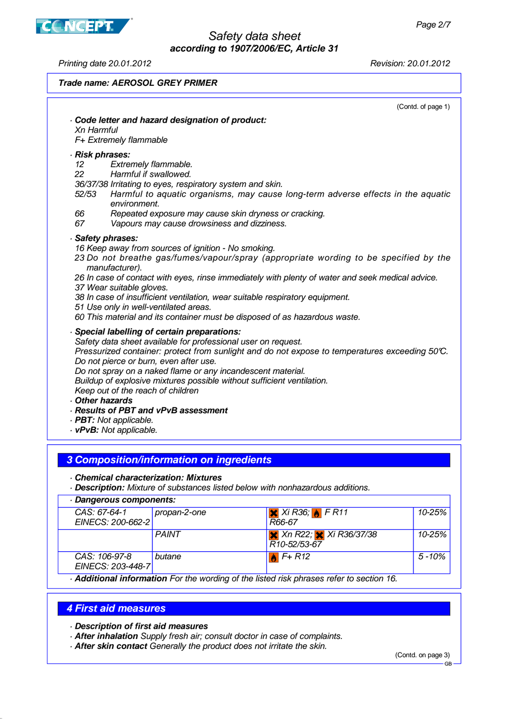Printing date 20.01.2012 Revision: 20.01.2012

**CNCEPT** 

#### **Trade name: AEROSOL GREY PRIMER**

(Contd. of page 1)

#### · **Code letter and hazard designation of product:** Xn Harmful F+ Extremely flammable · **Risk phrases:** 12 Extremely flammable. 22 Harmful if swallowed. 36/37/38 Irritating to eyes, respiratory system and skin. 52/53 Harmful to aquatic organisms, may cause long-term adverse effects in the aquatic environment. 66 Repeated exposure may cause skin dryness or cracking. 67 Vapours may cause drowsiness and dizziness. · **Safety phrases:** 16 Keep away from sources of ignition - No smoking. 23 Do not breathe gas/fumes/vapour/spray (appropriate wording to be specified by the manufacturer). 26 In case of contact with eyes, rinse immediately with plenty of water and seek medical advice. 37 Wear suitable gloves. 38 In case of insufficient ventilation, wear suitable respiratory equipment. 51 Use only in well-ventilated areas. 60 This material and its container must be disposed of as hazardous waste. · **Special labelling of certain preparations:** Safety data sheet available for professional user on request. Pressurized container: protect from sunlight and do not expose to temperatures exceeding 50°C. Do not pierce or burn, even after use. Do not spray on a naked flame or any incandescent material. Buildup of explosive mixtures possible without sufficient ventilation. Keep out of the reach of children · **Other hazards** · **Results of PBT and vPvB assessment** · **PBT:** Not applicable. · **vPvB:** Not applicable.

#### **3 Composition/information on ingredients**

· **Chemical characterization: Mixtures**

· **Description:** Mixture of substances listed below with nonhazardous additions.

| Dangerous components:              |              |                                                                     |            |  |
|------------------------------------|--------------|---------------------------------------------------------------------|------------|--|
| CAS: 67-64-1<br>EINECS: 200-662-2  | propan-2-one | $X$ Xi R36; $\bigcup$ F R11<br>R66-67                               | 10-25%     |  |
|                                    | <b>PAINT</b> | $\times$ Xn R22; $\times$ Xi R36/37/38<br>R <sub>10</sub> -52/53-67 | 10-25%     |  |
| CAS: 106-97-8<br>EINECS: 203-448-7 | butane       | $\mathbf{A}$ F+ R12                                                 | $5 - 10\%$ |  |

· **Additional information** For the wording of the listed risk phrases refer to section 16.

#### **4 First aid measures**

#### · **Description of first aid measures**

- · **After inhalation** Supply fresh air; consult doctor in case of complaints.
- · **After skin contact** Generally the product does not irritate the skin.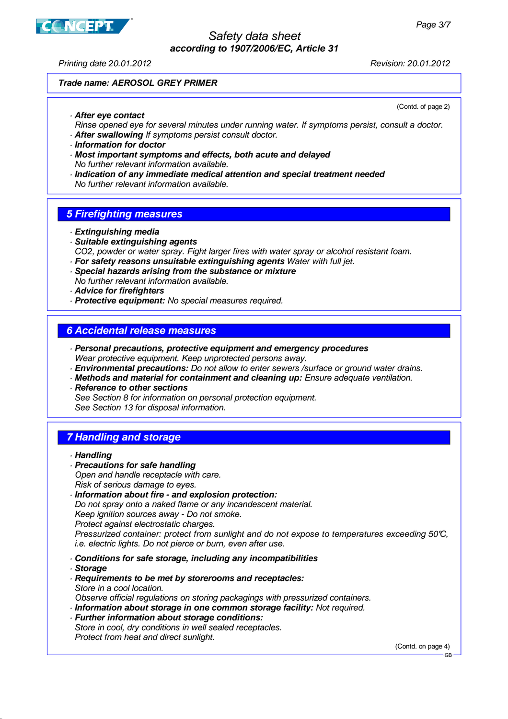

Printing date 20.01.2012 Revision: 20.01.2012

(Contd. of page 2)

## **Trade name: AEROSOL GREY PRIMER**

· **After eye contact**

Rinse opened eye for several minutes under running water. If symptoms persist, consult a doctor.

- · **After swallowing** If symptoms persist consult doctor.
- · **Information for doctor**
- · **Most important symptoms and effects, both acute and delayed** No further relevant information available.
- · **Indication of any immediate medical attention and special treatment needed** No further relevant information available.

# **5 Firefighting measures**

- · **Extinguishing media**
- · **Suitable extinguishing agents** CO2, powder or water spray. Fight larger fires with water spray or alcohol resistant foam.
- · **For safety reasons unsuitable extinguishing agents** Water with full jet.
- · **Special hazards arising from the substance or mixture** No further relevant information available.
- · **Advice for firefighters**
- · **Protective equipment:** No special measures required.

# **6 Accidental release measures**

- · **Personal precautions, protective equipment and emergency procedures** Wear protective equipment. Keep unprotected persons away.
- · **Environmental precautions:** Do not allow to enter sewers /surface or ground water drains.
- · **Methods and material for containment and cleaning up:** Ensure adequate ventilation.
- · **Reference to other sections** See Section 8 for information on personal protection equipment. See Section 13 for disposal information.

# **7 Handling and storage**

- · **Precautions for safe handling** Open and handle receptacle with care. Risk of serious damage to eyes.
- · **Information about fire and explosion protection:** Do not spray onto a naked flame or any incandescent material. Keep ignition sources away - Do not smoke. Protect against electrostatic charges. Pressurized container: protect from sunlight and do not expose to temperatures exceeding 50°C, i.e. electric lights. Do not pierce or burn, even after use.
- · **Conditions for safe storage, including any incompatibilities**
- · **Storage**
- · **Requirements to be met by storerooms and receptacles:** Store in a cool location. Observe official regulations on storing packagings with pressurized containers.
- · **Information about storage in one common storage facility:** Not required.
- · **Further information about storage conditions:** Store in cool, dry conditions in well sealed receptacles. Protect from heat and direct sunlight.

(Contd. on page 4)

<sup>·</sup> **Handling**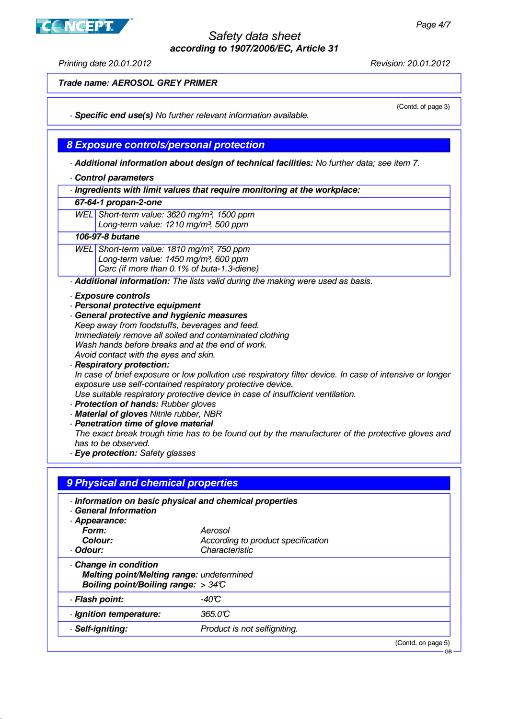**CONCEPT** 

Printing date 20.01.2012 Revision: 20.01.2012

(Contd. of page 3)

**Trade name: AEROSOL GREY PRIMER**

· **Specific end use(s)** No further relevant information available.

**8 Exposure controls/personal protection**

· **Additional information about design of technical facilities:** No further data; see item 7.

- · **Control parameters**
- · **Ingredients with limit values that require monitoring at the workplace:**
- **67-64-1 propan-2-one**

WEL Short-term value: 3620 mg/m<sup>3</sup>, 1500 ppm Long-term value: 1210 mg/m<sup>3</sup>, 500 ppm

#### **106-97-8 butane**

WEL Short-term value: 1810 mg/m<sup>3</sup>, 750 ppm Long-term value:  $1450$  mg/m<sup>3</sup>, 600 ppm Carc (if more than 0.1% of buta-1.3-diene)

· **Additional information:** The lists valid during the making were used as basis.

- · **Exposure controls**
- · **Personal protective equipment**
- · **General protective and hygienic measures** Keep away from foodstuffs, beverages and feed. Immediately remove all soiled and contaminated clothing Wash hands before breaks and at the end of work. Avoid contact with the eyes and skin.

· **Respiratory protection:** In case of brief exposure or low pollution use respiratory filter device. In case of intensive or longer exposure use self-contained respiratory protective device. Use suitable respiratory protective device in case of insufficient ventilation.

- · **Protection of hands:** Rubber gloves
- · **Material of gloves** Nitrile rubber, NBR
- · **Penetration time of glove material**
	- The exact break trough time has to be found out by the manufacturer of the protective gloves and has to be observed.
- · **Eye protection:** Safety glasses

| -40°C                        |                                                                                                                                                                                                                |
|------------------------------|----------------------------------------------------------------------------------------------------------------------------------------------------------------------------------------------------------------|
| 365.0C                       |                                                                                                                                                                                                                |
|                              |                                                                                                                                                                                                                |
| Product is not selfigniting. |                                                                                                                                                                                                                |
|                              | · Information on basic physical and chemical properties<br>Aerosol<br>According to product specification<br>Characteristic<br>Melting point/Melting range: undetermined<br>Boiling point/Boiling range: $>34C$ |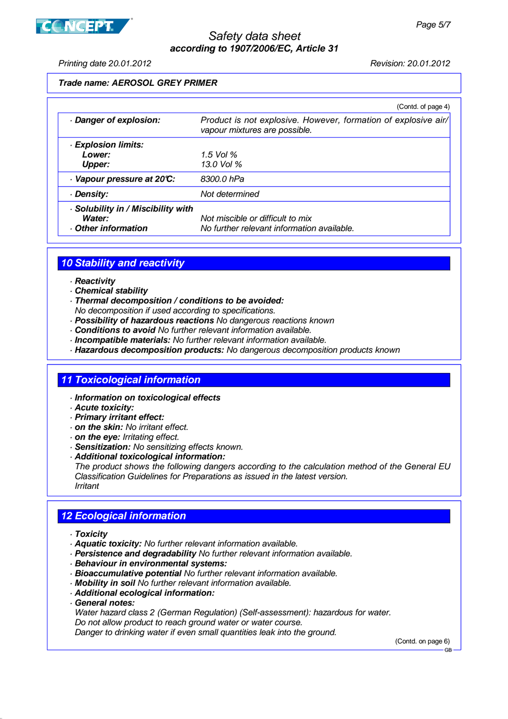



Printing date 20.01.2012 Revision: 20.01.2012

### **Trade name: AEROSOL GREY PRIMER**

|                                                                 | (Contd. of page 4)                                                                              |
|-----------------------------------------------------------------|-------------------------------------------------------------------------------------------------|
| Danger of explosion:                                            | Product is not explosive. However, formation of explosive air/<br>vapour mixtures are possible. |
| · Explosion limits:                                             |                                                                                                 |
| Lower:                                                          | 1.5 Vol $%$                                                                                     |
| <b>Upper:</b>                                                   | 13.0 Vol %                                                                                      |
| Vapour pressure at 20°C:                                        | 8300.0 hPa                                                                                      |
| · Density:                                                      | Not determined                                                                                  |
| Solubility in / Miscibility with<br>Water:<br>Other information | Not miscible or difficult to mix<br>No further relevant information available.                  |

## **10 Stability and reactivity**

- · **Reactivity**
- · **Chemical stability**
- · **Thermal decomposition / conditions to be avoided:**
- No decomposition if used according to specifications.
- · **Possibility of hazardous reactions** No dangerous reactions known
- · **Conditions to avoid** No further relevant information available.
- · **Incompatible materials:** No further relevant information available.
- · **Hazardous decomposition products:** No dangerous decomposition products known

### **11 Toxicological information**

- · **Information on toxicological effects**
- · **Acute toxicity:**
- · **Primary irritant effect:**
- · **on the skin:** No irritant effect.
- · **on the eye:** Irritating effect.
- · **Sensitization:** No sensitizing effects known.
- · **Additional toxicological information:**

The product shows the following dangers according to the calculation method of the General EU Classification Guidelines for Preparations as issued in the latest version. Irritant

## **12 Ecological information**

- · **Toxicity**
- · **Aquatic toxicity:** No further relevant information available.
- · **Persistence and degradability** No further relevant information available.
- · **Behaviour in environmental systems:**
- · **Bioaccumulative potential** No further relevant information available.
- · **Mobility in soil** No further relevant information available.
- · **Additional ecological information:**
- · **General notes:**

Water hazard class 2 (German Regulation) (Self-assessment): hazardous for water. Do not allow product to reach ground water or water course.

Danger to drinking water if even small quantities leak into the ground.

(Contd. on page 6)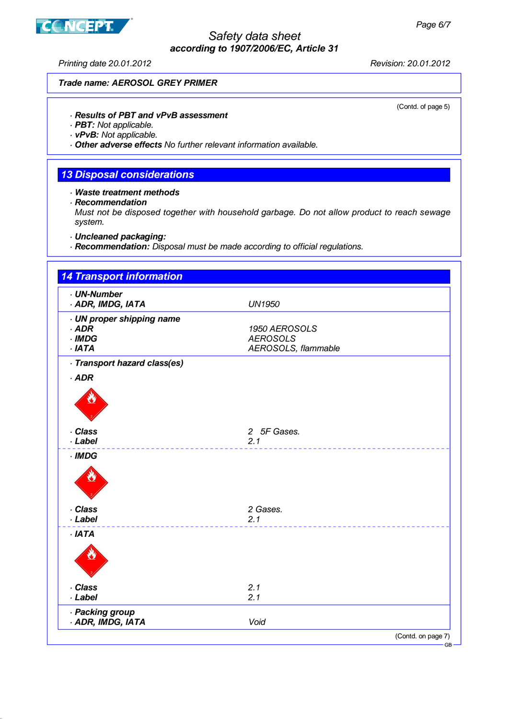# **CONCEPT**

# Safety data sheet **according to 1907/2006/EC, Article 31**

Printing date 20.01.2012 Revision: 20.01.2012

(Contd. of page 5)

#### **Trade name: AEROSOL GREY PRIMER**

· **Results of PBT and vPvB assessment**

· **PBT:** Not applicable.

· **vPvB:** Not applicable.

· **Other adverse effects** No further relevant information available.

## **13 Disposal considerations**

· **Waste treatment methods**

· **Recommendation**

Must not be disposed together with household garbage. Do not allow product to reach sewage system.

· **Uncleaned packaging:**

· **Recommendation:** Disposal must be made according to official regulations.

| <b>14 Transport information</b>                                  |                                                         |
|------------------------------------------------------------------|---------------------------------------------------------|
| · UN-Number<br>· ADR, IMDG, IATA                                 | <b>UN1950</b>                                           |
| · UN proper shipping name<br>$·$ ADR<br>$\cdot$ IMDG<br>$·$ IATA | 1950 AEROSOLS<br><b>AEROSOLS</b><br>AEROSOLS, flammable |
| · Transport hazard class(es)<br>$·$ ADR                          |                                                         |
|                                                                  |                                                         |
| · Class<br>· Label                                               | 2 5F Gases.<br>2.1                                      |
| $\cdot$ IMDG                                                     |                                                         |
|                                                                  |                                                         |
| · Class<br>· Label                                               | 2 Gases.<br>2.1                                         |
| $·$ IATA                                                         |                                                         |
| . Class                                                          | 2.1                                                     |
| · Label<br>· Packing group<br>· ADR, IMDG, IATA                  | 2.1<br>Void                                             |
|                                                                  | (Contd. on page 7)                                      |